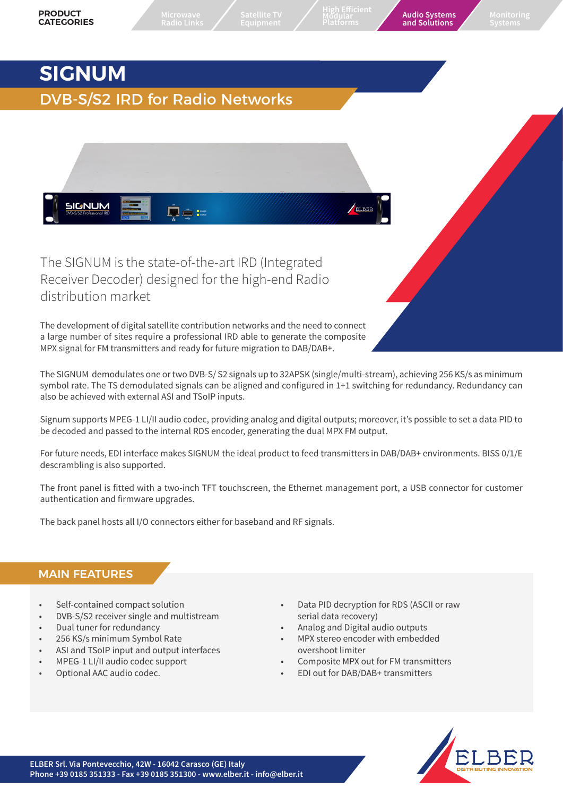**High Efficient Modular**

**Platforms Audio Systems and Solutions Monitoring Systems**

# **SIGNUM**

# DVB-S/S2 IRD for Radio Networks



The SIGNUM is the state-of-the-art IRD (Integrated Receiver Decoder) designed for the high-end Radio distribution market

The development of digital satellite contribution networks and the need to connect a large number of sites require a professional IRD able to generate the composite MPX signal for FM transmitters and ready for future migration to DAB/DAB+.

The SIGNUM demodulates one or two DVB-S/ S2 signals up to 32APSK (single/multi-stream), achieving 256 KS/s as minimum symbol rate. The TS demodulated signals can be aligned and configured in 1+1 switching for redundancy. Redundancy can also be achieved with external ASI and TSoIP inputs.

Signum supports MPEG-1 LI/II audio codec, providing analog and digital outputs; moreover, it's possible to set a data PID to be decoded and passed to the internal RDS encoder, generating the dual MPX FM output.

For future needs, EDI interface makes SIGNUM the ideal product to feed transmitters in DAB/DAB+ environments. BISS 0/1/E descrambling is also supported.

The front panel is fitted with a two-inch TFT touchscreen, the Ethernet management port, a USB connector for customer authentication and firmware upgrades.

The back panel hosts all I/O connectors either for baseband and RF signals.

# MAIN FEATURES

- Self-contained compact solution
- DVB-S/S2 receiver single and multistream
- Dual tuner for redundancy
- 256 KS/s minimum Symbol Rate
- ASI and TSoIP input and output interfaces
- MPEG-1 LI/II audio codec support
- Optional AAC audio codec.
- Data PID decryption for RDS (ASCII or raw serial data recovery)
- Analog and Digital audio outputs
- MPX stereo encoder with embedded overshoot limiter
- Composite MPX out for FM transmitters
- EDI out for DAB/DAB+ transmitters